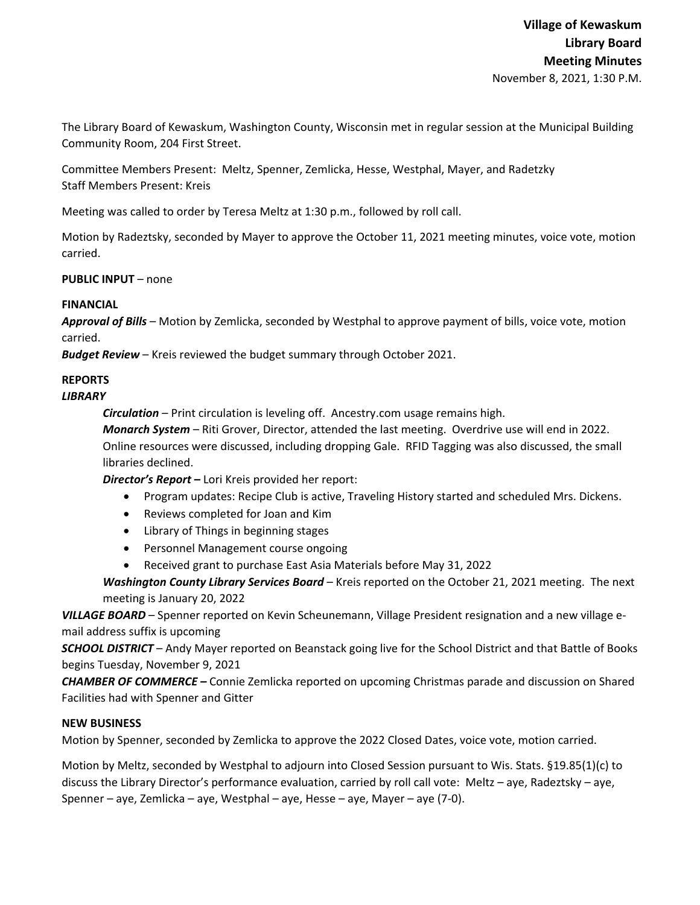The Library Board of Kewaskum, Washington County, Wisconsin met in regular session at the Municipal Building Community Room, 204 First Street.

Committee Members Present: Meltz, Spenner, Zemlicka, Hesse, Westphal, Mayer, and Radetzky Staff Members Present: Kreis

Meeting was called to order by Teresa Meltz at 1:30 p.m., followed by roll call.

Motion by Radeztsky, seconded by Mayer to approve the October 11, 2021 meeting minutes, voice vote, motion carried.

**PUBLIC INPUT** – none

## **FINANCIAL**

*Approval of Bills –* Motion by Zemlicka, seconded by Westphal to approve payment of bills, voice vote, motion carried.

*Budget Review* – Kreis reviewed the budget summary through October 2021.

# **REPORTS**

## *LIBRARY*

*Circulation* – Print circulation is leveling off. Ancestry.com usage remains high.

*Monarch System* – Riti Grover, Director, attended the last meeting. Overdrive use will end in 2022. Online resources were discussed, including dropping Gale. RFID Tagging was also discussed, the small libraries declined.

*Director's Report* **–** Lori Kreis provided her report:

- Program updates: Recipe Club is active, Traveling History started and scheduled Mrs. Dickens.
- Reviews completed for Joan and Kim
- Library of Things in beginning stages
- Personnel Management course ongoing
- Received grant to purchase East Asia Materials before May 31, 2022

*Washington County Library Services Board* – Kreis reported on the October 21, 2021 meeting. The next meeting is January 20, 2022

*VILLAGE BOARD* – Spenner reported on Kevin Scheunemann, Village President resignation and a new village e‐ mail address suffix is upcoming

*SCHOOL DISTRICT* – Andy Mayer reported on Beanstack going live for the School District and that Battle of Books begins Tuesday, November 9, 2021

*CHAMBER OF COMMERCE –* Connie Zemlicka reported on upcoming Christmas parade and discussion on Shared Facilities had with Spenner and Gitter

#### **NEW BUSINESS**

Motion by Spenner, seconded by Zemlicka to approve the 2022 Closed Dates, voice vote, motion carried.

Motion by Meltz, seconded by Westphal to adjourn into Closed Session pursuant to Wis. Stats. §19.85(1)(c) to discuss the Library Director's performance evaluation, carried by roll call vote: Meltz – aye, Radeztsky – aye, Spenner – aye, Zemlicka – aye, Westphal – aye, Hesse – aye, Mayer – aye (7‐0).